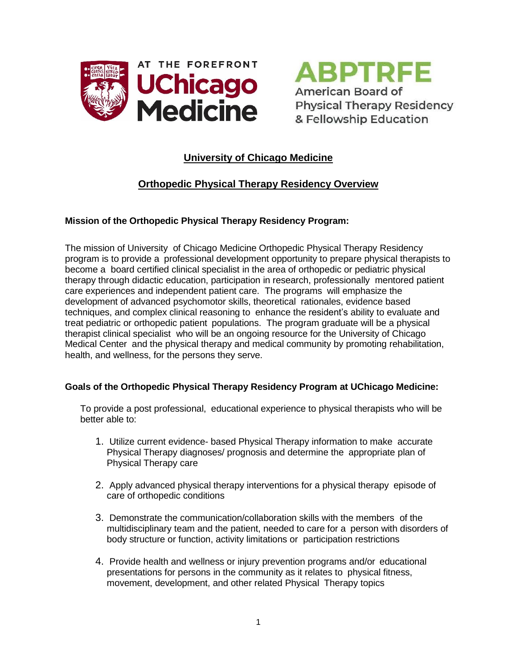



# **University of Chicago Medicine**

# **Orthopedic Physical Therapy Residency Overview**

## **Mission of the Orthopedic Physical Therapy Residency Program:**

The mission of University of Chicago Medicine Orthopedic Physical Therapy Residency program is to provide a professional development opportunity to prepare physical therapists to become a board certified clinical specialist in the area of orthopedic or pediatric physical therapy through didactic education, participation in research, professionally mentored patient care experiences and independent patient care. The programs will emphasize the development of advanced psychomotor skills, theoretical rationales, evidence based techniques, and complex clinical reasoning to enhance the resident's ability to evaluate and treat pediatric or orthopedic patient populations. The program graduate will be a physical therapist clinical specialist who will be an ongoing resource for the University of Chicago Medical Center and the physical therapy and medical community by promoting rehabilitation, health, and wellness, for the persons they serve.

## **Goals of the Orthopedic Physical Therapy Residency Program at UChicago Medicine:**

To provide a post professional, educational experience to physical therapists who will be better able to:

- 1. Utilize current evidence- based Physical Therapy information to make accurate Physical Therapy diagnoses/ prognosis and determine the appropriate plan of Physical Therapy care
- 2. Apply advanced physical therapy interventions for a physical therapy episode of care of orthopedic conditions
- 3. Demonstrate the communication/collaboration skills with the members of the multidisciplinary team and the patient, needed to care for a person with disorders of body structure or function, activity limitations or participation restrictions
- 4. Provide health and wellness or injury prevention programs and/or educational presentations for persons in the community as it relates to physical fitness, movement, development, and other related Physical Therapy topics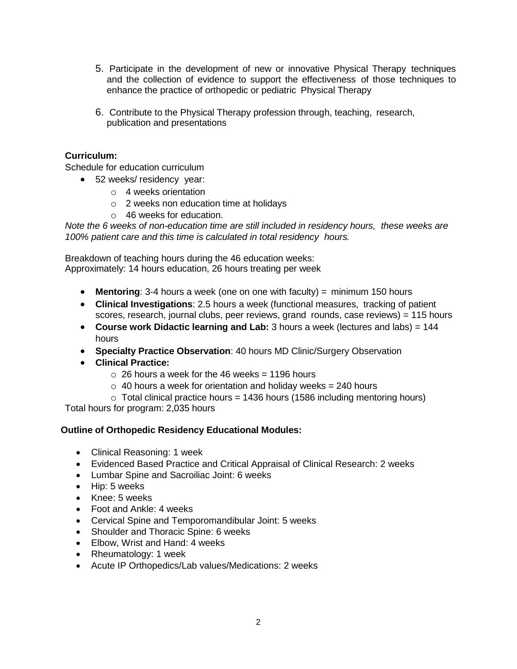- 5. Participate in the development of new or innovative Physical Therapy techniques and the collection of evidence to support the effectiveness of those techniques to enhance the practice of orthopedic or pediatric Physical Therapy
- 6. Contribute to the Physical Therapy profession through, teaching, research, publication and presentations

## **Curriculum:**

Schedule for education curriculum

- 52 weeks/ residency year:
	- o 4 weeks orientation
	- o 2 weeks non education time at holidays
	- o 46 weeks for education.

*Note the 6 weeks of non-education time are still included in residency hours, these weeks are 100% patient care and this time is calculated in total residency hours.*

Breakdown of teaching hours during the 46 education weeks: Approximately: 14 hours education, 26 hours treating per week

- **Mentoring**: 3-4 hours a week (one on one with faculty) = minimum 150 hours
- **Clinical Investigations**: 2.5 hours a week (functional measures, tracking of patient scores, research, journal clubs, peer reviews, grand rounds, case reviews) = 115 hours
- **Course work Didactic learning and Lab:** 3 hours a week (lectures and labs) = 144 hours
- **Specialty Practice Observation**: 40 hours MD Clinic/Surgery Observation
- **Clinical Practice:** 
	- $\circ$  26 hours a week for the 46 weeks = 1196 hours
	- $\circ$  40 hours a week for orientation and holiday weeks = 240 hours
	- $\circ$  Total clinical practice hours = 1436 hours (1586 including mentoring hours)

Total hours for program: 2,035 hours

## **Outline of Orthopedic Residency Educational Modules:**

- Clinical Reasoning: 1 week
- Evidenced Based Practice and Critical Appraisal of Clinical Research: 2 weeks
- Lumbar Spine and Sacroiliac Joint: 6 weeks
- Hip: 5 weeks
- Knee: 5 weeks
- Foot and Ankle: 4 weeks
- Cervical Spine and Temporomandibular Joint: 5 weeks
- Shoulder and Thoracic Spine: 6 weeks
- Elbow, Wrist and Hand: 4 weeks
- Rheumatology: 1 week
- Acute IP Orthopedics/Lab values/Medications: 2 weeks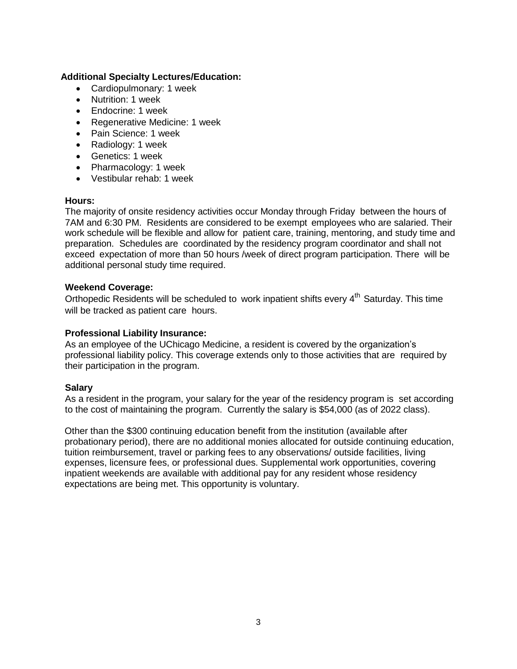## **Additional Specialty Lectures/Education:**

- Cardiopulmonary: 1 week
- Nutrition: 1 week
- Endocrine: 1 week
- Regenerative Medicine: 1 week
- Pain Science: 1 week
- Radiology: 1 week
- Genetics: 1 week
- Pharmacology: 1 week
- Vestibular rehab: 1 week

#### **Hours:**

The majority of onsite residency activities occur Monday through Friday between the hours of 7AM and 6:30 PM. Residents are considered to be exempt employees who are salaried. Their work schedule will be flexible and allow for patient care, training, mentoring, and study time and preparation. Schedules are coordinated by the residency program coordinator and shall not exceed expectation of more than 50 hours /week of direct program participation. There will be additional personal study time required.

## **Weekend Coverage:**

Orthopedic Residents will be scheduled to work inpatient shifts every 4<sup>th</sup> Saturday. This time will be tracked as patient care hours.

## **Professional Liability Insurance:**

As an employee of the UChicago Medicine, a resident is covered by the organization's professional liability policy. This coverage extends only to those activities that are required by their participation in the program.

## **Salary**

As a resident in the program, your salary for the year of the residency program is set according to the cost of maintaining the program. Currently the salary is \$54,000 (as of 2022 class).

Other than the \$300 continuing education benefit from the institution (available after probationary period), there are no additional monies allocated for outside continuing education, tuition reimbursement, travel or parking fees to any observations/ outside facilities, living expenses, licensure fees, or professional dues. Supplemental work opportunities, covering inpatient weekends are available with additional pay for any resident whose residency expectations are being met. This opportunity is voluntary.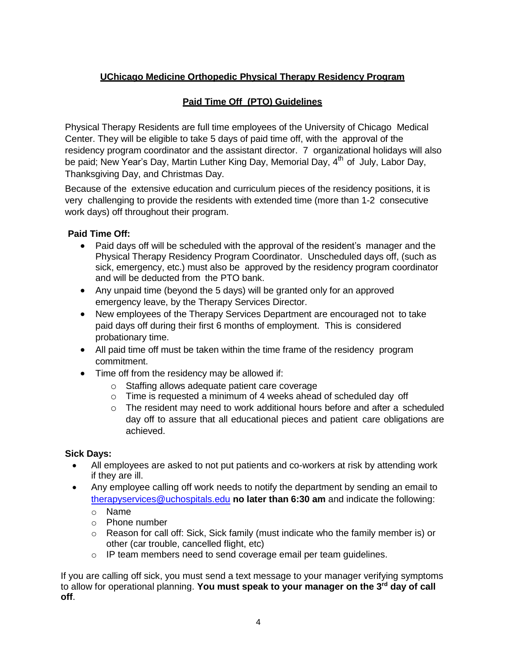# **UChicago Medicine Orthopedic Physical Therapy Residency Program**

# **Paid Time Off (PTO) Guidelines**

Physical Therapy Residents are full time employees of the University of Chicago Medical Center. They will be eligible to take 5 days of paid time off, with the approval of the residency program coordinator and the assistant director. 7 organizational holidays will also be paid; New Year's Day, Martin Luther King Day, Memorial Day, 4<sup>th</sup> of July, Labor Day, Thanksgiving Day, and Christmas Day.

Because of the extensive education and curriculum pieces of the residency positions, it is very challenging to provide the residents with extended time (more than 1-2 consecutive work days) off throughout their program.

# **Paid Time Off:**

- Paid days off will be scheduled with the approval of the resident's manager and the Physical Therapy Residency Program Coordinator. Unscheduled days off, (such as sick, emergency, etc.) must also be approved by the residency program coordinator and will be deducted from the PTO bank.
- Any unpaid time (beyond the 5 days) will be granted only for an approved emergency leave, by the Therapy Services Director.
- New employees of the Therapy Services Department are encouraged not to take paid days off during their first 6 months of employment. This is considered probationary time.
- All paid time off must be taken within the time frame of the residency program commitment.
- Time off from the residency may be allowed if:
	- o Staffing allows adequate patient care coverage
	- o Time is requested a minimum of 4 weeks ahead of scheduled day off
	- $\circ$  The resident may need to work additional hours before and after a scheduled day off to assure that all educational pieces and patient care obligations are achieved.

# **Sick Days:**

- All employees are asked to not put patients and co-workers at risk by attending work if they are ill.
- Any employee calling off work needs to notify the department by sending an email to [therapyservices@uchospitals.edu](mailto:therapyservices@uchospitals.edu) **no later than 6:30 am** and indicate the following:

o Name

- o Phone number
- $\circ$  Reason for call off: Sick, Sick family (must indicate who the family member is) or other (car trouble, cancelled flight, etc)
- o IP team members need to send coverage email per team guidelines.

If you are calling off sick, you must send a text message to your manager verifying symptoms to allow for operational planning. **You must speak to your manager on the 3rd day of call off**.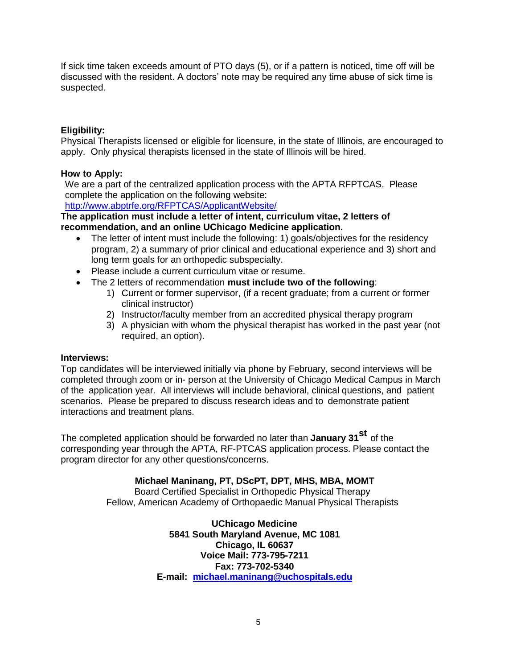If sick time taken exceeds amount of PTO days (5), or if a pattern is noticed, time off will be discussed with the resident. A doctors' note may be required any time abuse of sick time is suspected.

## **Eligibility:**

Physical Therapists licensed or eligible for licensure, in the state of Illinois, are encouraged to apply. Only physical therapists licensed in the state of Illinois will be hired.

## **How to Apply:**

We are a part of the centralized application process with the APTA RFPTCAS. Please complete the application on the following website:

[http://www.abptrfe.org/RFPTCAS/ApplicantWebsit](http://www.abptrfe.org/RFPTCAS/ApplicantWebsite/)e/

#### **The application must include a letter of intent, curriculum vitae, 2 letters of recommendation, and an online UChicago Medicine application.**

- The letter of intent must include the following: 1) goals/objectives for the residency program, 2) a summary of prior clinical and educational experience and 3) short and long term goals for an orthopedic subspecialty.
- Please include a current curriculum vitae or resume.
- The 2 letters of recommendation **must include two of the following**:
	- 1) Current or former supervisor, (if a recent graduate; from a current or former clinical instructor)
	- 2) Instructor/faculty member from an accredited physical therapy program
	- 3) A physician with whom the physical therapist has worked in the past year (not required, an option).

## **Interviews:**

Top candidates will be interviewed initially via phone by February, second interviews will be completed through zoom or in- person at the University of Chicago Medical Campus in March of the application year. All interviews will include behavioral, clinical questions, and patient scenarios. Please be prepared to discuss research ideas and to demonstrate patient interactions and treatment plans.

The completed application should be forwarded no later than **January 31 st** of the corresponding year through the APTA, RF-PTCAS application process. Please contact the program director for any other questions/concerns.

# **Michael Maninang, PT, DScPT, DPT, MHS, MBA, MOMT**

Board Certified Specialist in Orthopedic Physical Therapy Fellow, American Academy of Orthopaedic Manual Physical Therapists

> **UChicago Medicine 5841 South Maryland Avenue, MC 1081 Chicago, IL 60637 Voice Mail: 773-795-7211 Fax: 773-702-5340 E-mail: [michael.maninang@uchospitals.e](mailto:michael.maninang@uchospitals.)du**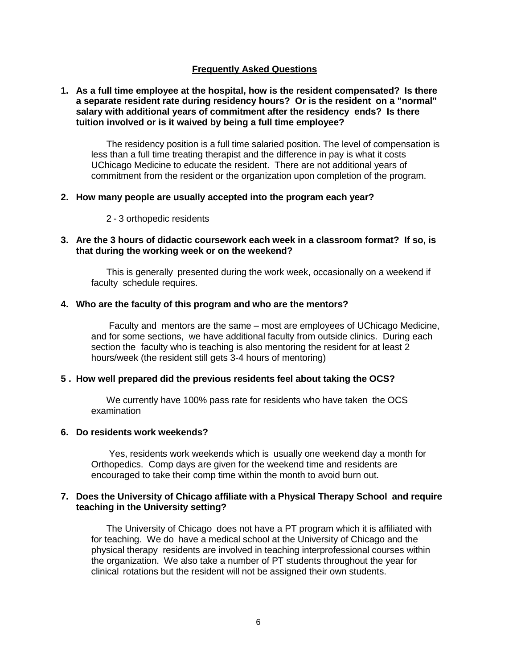#### **Frequently Asked Questions**

#### **1. As a full time employee at the hospital, how is the resident compensated? Is there a separate resident rate during residency hours? Or is the resident on a "normal" salary with additional years of commitment after the residency ends? Is there tuition involved or is it waived by being a full time employee?**

The residency position is a full time salaried position. The level of compensation is less than a full time treating therapist and the difference in pay is what it costs UChicago Medicine to educate the resident. There are not additional years of commitment from the resident or the organization upon completion of the program.

#### **2. How many people are usually accepted into the program each year?**

2 - 3 orthopedic residents

#### **3. Are the 3 hours of didactic coursework each week in a classroom format? If so, is that during the working week or on the weekend?**

This is generally presented during the work week, occasionally on a weekend if faculty schedule requires.

#### **4. Who are the faculty of this program and who are the mentors?**

Faculty and mentors are the same – most are employees of UChicago Medicine, and for some sections, we have additional faculty from outside clinics. During each section the faculty who is teaching is also mentoring the resident for at least 2 hours/week (the resident still gets 3-4 hours of mentoring)

#### **5 . How well prepared did the previous residents feel about taking the OCS?**

We currently have 100% pass rate for residents who have taken the OCS examination

#### **6. Do residents work weekends?**

Yes, residents work weekends which is usually one weekend day a month for Orthopedics. Comp days are given for the weekend time and residents are encouraged to take their comp time within the month to avoid burn out.

#### **7. Does the University of Chicago affiliate with a Physical Therapy School and require teaching in the University setting?**

The University of Chicago does not have a PT program which it is affiliated with for teaching. We do have a medical school at the University of Chicago and the physical therapy residents are involved in teaching interprofessional courses within the organization. We also take a number of PT students throughout the year for clinical rotations but the resident will not be assigned their own students.